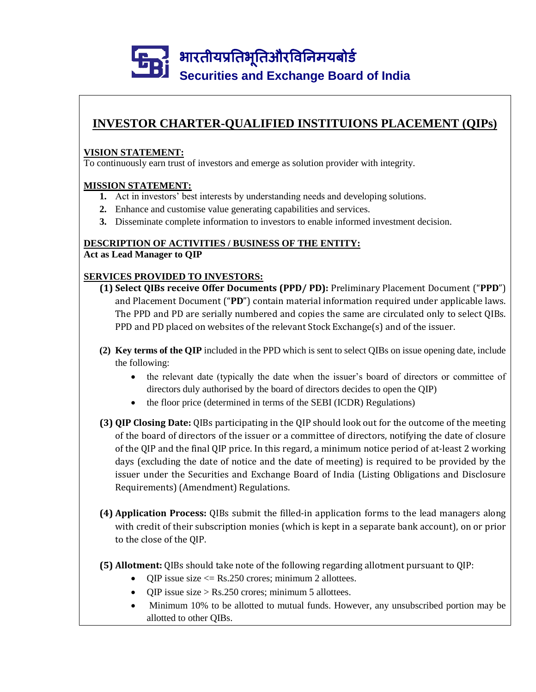### **INVESTOR CHARTER-QUALIFIED INSTITUIONS PLACEMENT (QIPs)**

#### **VISION STATEMENT:**

To continuously earn trust of investors and emerge as solution provider with integrity.

#### **MISSION STATEMENT:**

- **1.** Act in investors' best interests by understanding needs and developing solutions.
- **2.** Enhance and customise value generating capabilities and services.
- **3.** Disseminate complete information to investors to enable informed investment decision.

### **DESCRIPTION OF ACTIVITIES / BUSINESS OF THE ENTITY:**

**Act as Lead Manager to QIP**

### **SERVICES PROVIDED TO INVESTORS:**

- **(1) Select QIBs receive Offer Documents (PPD/ PD):** Preliminary Placement Document ("**PPD**") and Placement Document ("**PD**") contain material information required under applicable laws. The PPD and PD are serially numbered and copies the same are circulated only to select QIBs. PPD and PD placed on websites of the relevant Stock Exchange(s) and of the issuer.
- **(2) Key terms of the QIP** included in the PPD which is sent to select QIBs on issue opening date, include the following:
	- the relevant date (typically the date when the issuer's board of directors or committee of directors duly authorised by the board of directors decides to open the QIP)
	- the floor price (determined in terms of the SEBI (ICDR) Regulations)
- **(3) QIP Closing Date:** QIBs participating in the QIP should look out for the outcome of the meeting of the board of directors of the issuer or a committee of directors, notifying the date of closure of the QIP and the final QIP price. In this regard, a minimum notice period of at-least 2 working days (excluding the date of notice and the date of meeting) is required to be provided by the issuer under the Securities and Exchange Board of India (Listing Obligations and Disclosure Requirements) (Amendment) Regulations.
- **(4) Application Process:** QIBs submit the filled-in application forms to the lead managers along with credit of their subscription monies (which is kept in a separate bank account), on or prior to the close of the QIP.
- **(5) Allotment:** QIBs should take note of the following regarding allotment pursuant to QIP:
	- QIP issue size  $\leq$  Rs.250 crores; minimum 2 allottees.
	- OIP issue size > Rs.250 crores; minimum 5 allottees.
	- Minimum 10% to be allotted to mutual funds. However, any unsubscribed portion may be allotted to other QIBs.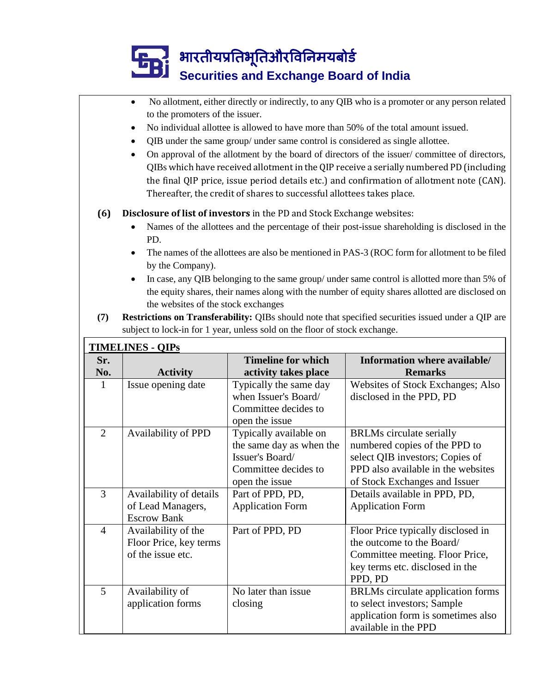|                | to the promoters of the issuer.                                                                                                                                                                                                                                            |                                                                            | No allotment, either directly or indirectly, to any QIB who is a promoter or any person related    |  |  |  |
|----------------|----------------------------------------------------------------------------------------------------------------------------------------------------------------------------------------------------------------------------------------------------------------------------|----------------------------------------------------------------------------|----------------------------------------------------------------------------------------------------|--|--|--|
|                | ٠                                                                                                                                                                                                                                                                          |                                                                            |                                                                                                    |  |  |  |
|                | No individual allottee is allowed to have more than 50% of the total amount issued.<br>QIB under the same group/ under same control is considered as single allottee.<br>٠<br>On approval of the allotment by the board of directors of the issuer/committee of directors, |                                                                            |                                                                                                    |  |  |  |
|                |                                                                                                                                                                                                                                                                            |                                                                            |                                                                                                    |  |  |  |
|                |                                                                                                                                                                                                                                                                            |                                                                            |                                                                                                    |  |  |  |
|                |                                                                                                                                                                                                                                                                            |                                                                            | QIBs which have received allotment in the QIP receive a serially numbered PD (including            |  |  |  |
|                |                                                                                                                                                                                                                                                                            |                                                                            | the final QIP price, issue period details etc.) and confirmation of allotment note (CAN).          |  |  |  |
|                |                                                                                                                                                                                                                                                                            | Thereafter, the credit of shares to successful allottees takes place.      |                                                                                                    |  |  |  |
| (6)            |                                                                                                                                                                                                                                                                            | Disclosure of list of investors in the PD and Stock Exchange websites:     |                                                                                                    |  |  |  |
|                |                                                                                                                                                                                                                                                                            |                                                                            | Names of the allottees and the percentage of their post-issue shareholding is disclosed in the     |  |  |  |
|                | PD.                                                                                                                                                                                                                                                                        |                                                                            |                                                                                                    |  |  |  |
|                |                                                                                                                                                                                                                                                                            |                                                                            | The names of the allottees are also be mentioned in PAS-3 (ROC form for allotment to be filed      |  |  |  |
|                | by the Company).                                                                                                                                                                                                                                                           |                                                                            |                                                                                                    |  |  |  |
|                |                                                                                                                                                                                                                                                                            |                                                                            | In case, any QIB belonging to the same group/ under same control is allotted more than 5% of       |  |  |  |
|                |                                                                                                                                                                                                                                                                            |                                                                            | the equity shares, their names along with the number of equity shares allotted are disclosed on    |  |  |  |
|                | the websites of the stock exchanges                                                                                                                                                                                                                                        |                                                                            |                                                                                                    |  |  |  |
| (7)            |                                                                                                                                                                                                                                                                            |                                                                            | Restrictions on Transferability: QIBs should note that specified securities issued under a QIP are |  |  |  |
|                |                                                                                                                                                                                                                                                                            | subject to lock-in for 1 year, unless sold on the floor of stock exchange. |                                                                                                    |  |  |  |
|                | <b>TIMELINES - QIPS</b>                                                                                                                                                                                                                                                    |                                                                            |                                                                                                    |  |  |  |
| Sr.            |                                                                                                                                                                                                                                                                            | <b>Timeline for which</b>                                                  | Information where available/                                                                       |  |  |  |
|                |                                                                                                                                                                                                                                                                            | activity takes place                                                       | <b>Remarks</b>                                                                                     |  |  |  |
| No.            | <b>Activity</b>                                                                                                                                                                                                                                                            |                                                                            |                                                                                                    |  |  |  |
| $\mathbf{1}$   | Issue opening date                                                                                                                                                                                                                                                         | Typically the same day                                                     | Websites of Stock Exchanges; Also                                                                  |  |  |  |
|                |                                                                                                                                                                                                                                                                            | when Issuer's Board/                                                       | disclosed in the PPD, PD                                                                           |  |  |  |
|                |                                                                                                                                                                                                                                                                            | Committee decides to                                                       |                                                                                                    |  |  |  |
|                |                                                                                                                                                                                                                                                                            | open the issue                                                             |                                                                                                    |  |  |  |
| $\overline{2}$ | Availability of PPD                                                                                                                                                                                                                                                        | Typically available on                                                     | <b>BRLMs</b> circulate serially                                                                    |  |  |  |
|                |                                                                                                                                                                                                                                                                            | the same day as when the                                                   | numbered copies of the PPD to                                                                      |  |  |  |
|                |                                                                                                                                                                                                                                                                            | Issuer's Board/                                                            | select QIB investors; Copies of                                                                    |  |  |  |
|                |                                                                                                                                                                                                                                                                            | Committee decides to                                                       | PPD also available in the websites                                                                 |  |  |  |
|                |                                                                                                                                                                                                                                                                            | open the issue                                                             | of Stock Exchanges and Issuer                                                                      |  |  |  |
| 3              | Availability of details                                                                                                                                                                                                                                                    | Part of PPD, PD,                                                           | Details available in PPD, PD,                                                                      |  |  |  |
|                | of Lead Managers,                                                                                                                                                                                                                                                          | <b>Application Form</b>                                                    | <b>Application Form</b>                                                                            |  |  |  |
|                | <b>Escrow Bank</b>                                                                                                                                                                                                                                                         |                                                                            |                                                                                                    |  |  |  |
| $\overline{4}$ | Availability of the                                                                                                                                                                                                                                                        | Part of PPD, PD                                                            | Floor Price typically disclosed in                                                                 |  |  |  |
|                | Floor Price, key terms                                                                                                                                                                                                                                                     |                                                                            | the outcome to the Board/                                                                          |  |  |  |
|                | of the issue etc.                                                                                                                                                                                                                                                          |                                                                            | Committee meeting. Floor Price,                                                                    |  |  |  |
|                |                                                                                                                                                                                                                                                                            |                                                                            | key terms etc. disclosed in the                                                                    |  |  |  |
| 5              |                                                                                                                                                                                                                                                                            | No later than issue.                                                       | PPD, PD                                                                                            |  |  |  |
|                | Availability of                                                                                                                                                                                                                                                            |                                                                            | BRLMs circulate application forms                                                                  |  |  |  |
|                | application forms                                                                                                                                                                                                                                                          | closing                                                                    | to select investors; Sample<br>application form is sometimes also                                  |  |  |  |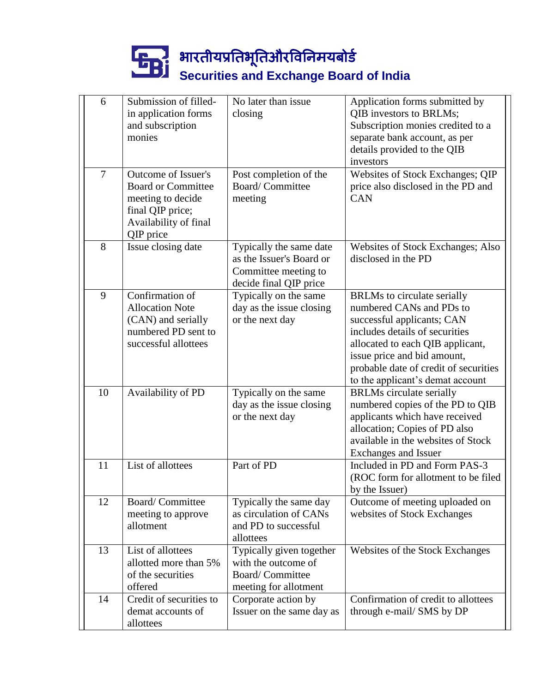| 6              | Submission of filled-<br>in application forms<br>and subscription<br>monies                                                     | No later than issue<br>closing                                                                        | Application forms submitted by<br>QIB investors to BRLMs;<br>Subscription monies credited to a<br>separate bank account, as per<br>details provided to the QIB                                                                                                                 |
|----------------|---------------------------------------------------------------------------------------------------------------------------------|-------------------------------------------------------------------------------------------------------|--------------------------------------------------------------------------------------------------------------------------------------------------------------------------------------------------------------------------------------------------------------------------------|
| $\overline{7}$ | Outcome of Issuer's<br><b>Board or Committee</b><br>meeting to decide<br>final QIP price;<br>Availability of final<br>QIP price | Post completion of the<br><b>Board/Committee</b><br>meeting                                           | investors<br>Websites of Stock Exchanges; QIP<br>price also disclosed in the PD and<br><b>CAN</b>                                                                                                                                                                              |
| 8              | Issue closing date                                                                                                              | Typically the same date<br>as the Issuer's Board or<br>Committee meeting to<br>decide final QIP price | Websites of Stock Exchanges; Also<br>disclosed in the PD                                                                                                                                                                                                                       |
| 9              | Confirmation of<br><b>Allocation Note</b><br>(CAN) and serially<br>numbered PD sent to<br>successful allottees                  | Typically on the same<br>day as the issue closing<br>or the next day                                  | <b>BRLMs</b> to circulate serially<br>numbered CANs and PDs to<br>successful applicants; CAN<br>includes details of securities<br>allocated to each QIB applicant,<br>issue price and bid amount,<br>probable date of credit of securities<br>to the applicant's demat account |
| 10             | Availability of PD                                                                                                              | Typically on the same<br>day as the issue closing<br>or the next day                                  | <b>BRLMs</b> circulate serially<br>numbered copies of the PD to QIB<br>applicants which have received<br>allocation; Copies of PD also<br>available in the websites of Stock<br>Exchanges and Issuer                                                                           |
| 11             | List of allottees                                                                                                               | Part of PD                                                                                            | Included in PD and Form PAS-3<br>(ROC form for allotment to be filed<br>by the Issuer)                                                                                                                                                                                         |
| 12             | Board/Committee<br>meeting to approve<br>allotment                                                                              | Typically the same day<br>as circulation of CANs<br>and PD to successful<br>allottees                 | Outcome of meeting uploaded on<br>websites of Stock Exchanges                                                                                                                                                                                                                  |
| 13             | List of allottees<br>allotted more than 5%<br>of the securities<br>offered                                                      | Typically given together<br>with the outcome of<br><b>Board/Committee</b><br>meeting for allotment    | Websites of the Stock Exchanges                                                                                                                                                                                                                                                |
| 14             | Credit of securities to<br>demat accounts of<br>allottees                                                                       | Corporate action by<br>Issuer on the same day as                                                      | Confirmation of credit to allottees<br>through e-mail/ SMS by DP                                                                                                                                                                                                               |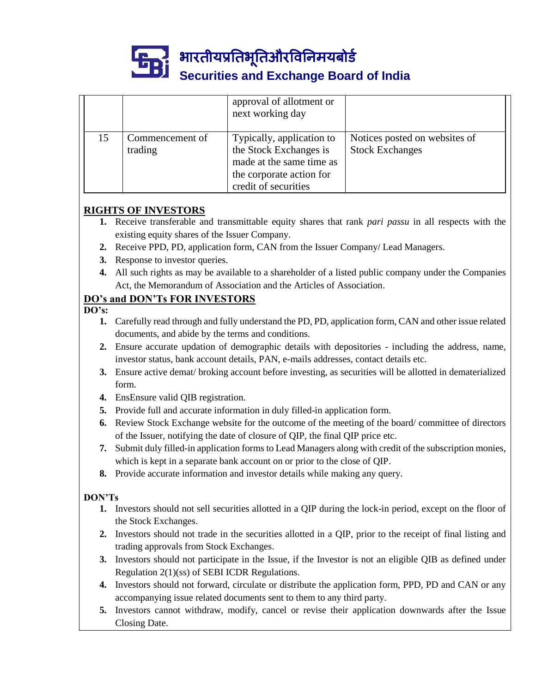

भारतीयप्रततभूततऔरवितिमयबोर्ड

## **Securities and Exchange Board of India**

|    |                            | approval of allotment or<br>next working day                                                                                        |                                                         |
|----|----------------------------|-------------------------------------------------------------------------------------------------------------------------------------|---------------------------------------------------------|
| 15 | Commencement of<br>trading | Typically, application to<br>the Stock Exchanges is<br>made at the same time as<br>the corporate action for<br>credit of securities | Notices posted on websites of<br><b>Stock Exchanges</b> |

### **RIGHTS OF INVESTORS**

- **1.** Receive transferable and transmittable equity shares that rank *pari passu* in all respects with the existing equity shares of the Issuer Company.
- **2.** Receive PPD, PD, application form, CAN from the Issuer Company/ Lead Managers.
- **3.** Response to investor queries.
- **4.** All such rights as may be available to a shareholder of a listed public company under the Companies Act, the Memorandum of Association and the Articles of Association.

### **DO's and DON'Ts FOR INVESTORS**

**DO's:**

- **1.** Carefully read through and fully understand the PD, PD, application form, CAN and other issue related documents, and abide by the terms and conditions.
- **2.** Ensure accurate updation of demographic details with depositories including the address, name, investor status, bank account details, PAN, e-mails addresses, contact details etc.
- **3.** Ensure active demat/ broking account before investing, as securities will be allotted in dematerialized form.
- **4.** EnsEnsure valid QIB registration.
- **5.** Provide full and accurate information in duly filled-in application form.
- **6.** Review Stock Exchange website for the outcome of the meeting of the board/ committee of directors of the Issuer, notifying the date of closure of QIP, the final QIP price etc.
- **7.** Submit duly filled-in application forms to Lead Managers along with credit of the subscription monies, which is kept in a separate bank account on or prior to the close of QIP.
- **8.** Provide accurate information and investor details while making any query.

### **DON'Ts**

- **1.** Investors should not sell securities allotted in a QIP during the lock-in period, except on the floor of the Stock Exchanges.
- **2.** Investors should not trade in the securities allotted in a QIP, prior to the receipt of final listing and trading approvals from Stock Exchanges.
- **3.** Investors should not participate in the Issue, if the Investor is not an eligible QIB as defined under Regulation 2(1)(ss) of SEBI ICDR Regulations.
- **4.** Investors should not forward, circulate or distribute the application form, PPD, PD and CAN or any accompanying issue related documents sent to them to any third party.
- **5.** Investors cannot withdraw, modify, cancel or revise their application downwards after the Issue Closing Date.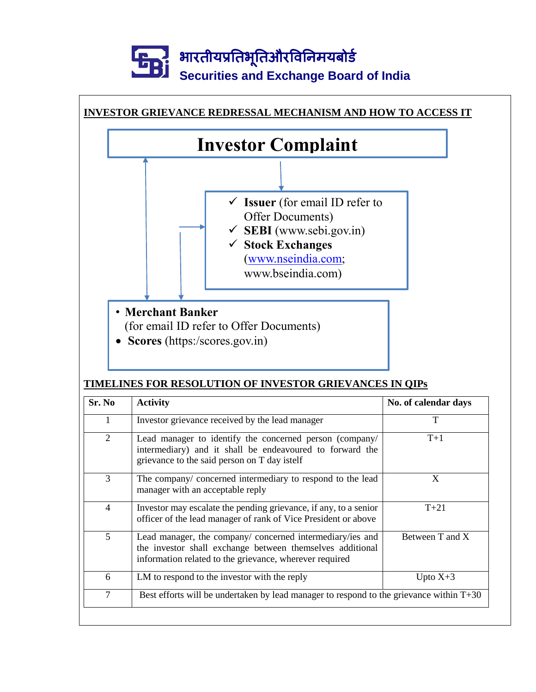

### **TIMELINES FOR RESOLUTION OF INVESTOR GRIEVANCES IN QIPs**

| Sr. No<br><b>Activity</b>                                                                                   |                                                                                                                                                                                   | No. of calendar days |  |
|-------------------------------------------------------------------------------------------------------------|-----------------------------------------------------------------------------------------------------------------------------------------------------------------------------------|----------------------|--|
| 1                                                                                                           | Investor grievance received by the lead manager                                                                                                                                   | T                    |  |
| 2                                                                                                           | Lead manager to identify the concerned person (company/<br>intermediary) and it shall be endeavoured to forward the<br>grievance to the said person on T day istelf               | $T+1$                |  |
| 3                                                                                                           | The company/ concerned intermediary to respond to the lead<br>manager with an acceptable reply                                                                                    | X                    |  |
| 4                                                                                                           | Investor may escalate the pending grievance, if any, to a senior<br>officer of the lead manager of rank of Vice President or above                                                | $T+21$               |  |
| 5                                                                                                           | Lead manager, the company/ concerned intermediary/ies and<br>the investor shall exchange between themselves additional<br>information related to the grievance, wherever required | Between T and X      |  |
| 6                                                                                                           | LM to respond to the investor with the reply                                                                                                                                      | Upto $X+3$           |  |
| $\overline{7}$<br>Best efforts will be undertaken by lead manager to respond to the grievance within $T+30$ |                                                                                                                                                                                   |                      |  |